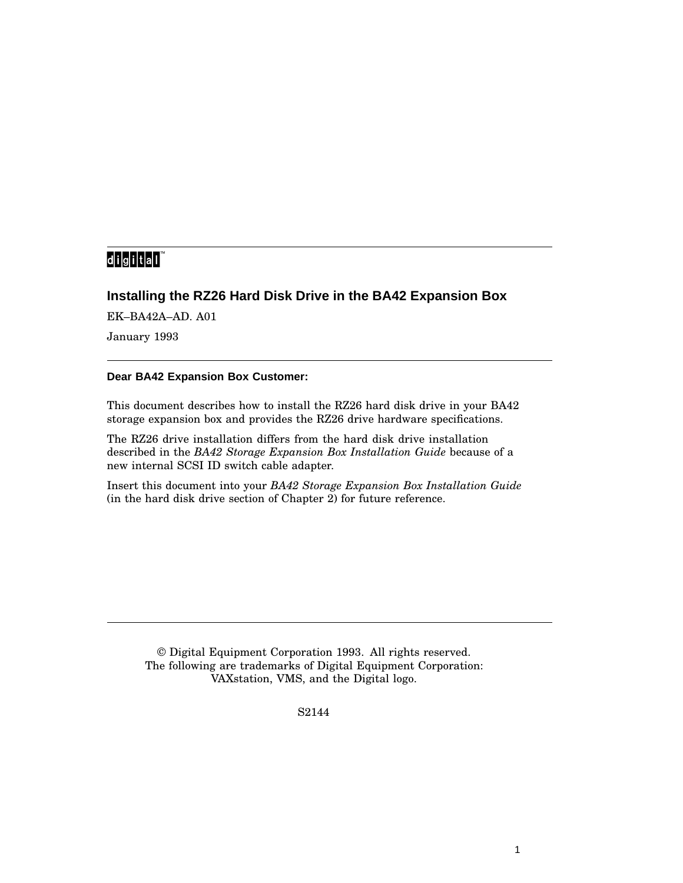# 

## **Installing the RZ26 Hard Disk Drive in the BA42 Expansion Box**

EK–BA42A–AD. A01

January 1993

### **Dear BA42 Expansion Box Customer:**

This document describes how to install the RZ26 hard disk drive in your BA42 storage expansion box and provides the RZ26 drive hardware specifications.

The RZ26 drive installation differs from the hard disk drive installation described in the *BA42 Storage Expansion Box Installation Guide* because of a new internal SCSI ID switch cable adapter.

Insert this document into your *BA42 Storage Expansion Box Installation Guide* (in the hard disk drive section of Chapter 2) for future reference.

© Digital Equipment Corporation 1993. All rights reserved. The following are trademarks of Digital Equipment Corporation: VAXstation, VMS, and the Digital logo.

S2144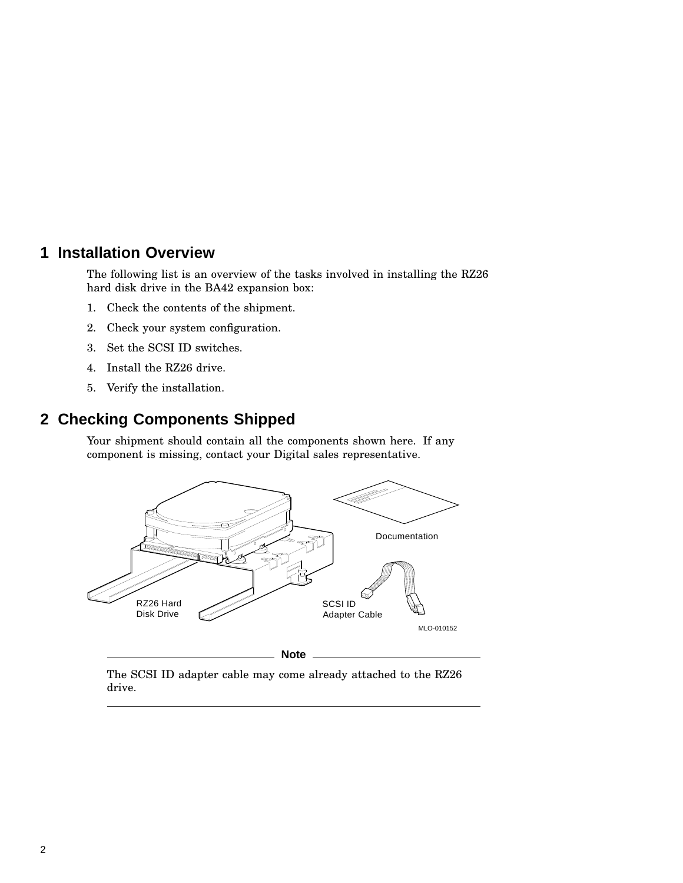# **1 Installation Overview**

The following list is an overview of the tasks involved in installing the RZ26 hard disk drive in the BA42 expansion box:

- 1. Check the contents of the shipment.
- 2. Check your system configuration.
- 3. Set the SCSI ID switches.
- 4. Install the RZ26 drive.
- 5. Verify the installation.

# **2 Checking Components Shipped**

Your shipment should contain all the components shown here. If any component is missing, contact your Digital sales representative.



The SCSI ID adapter cable may come already attached to the RZ26 drive.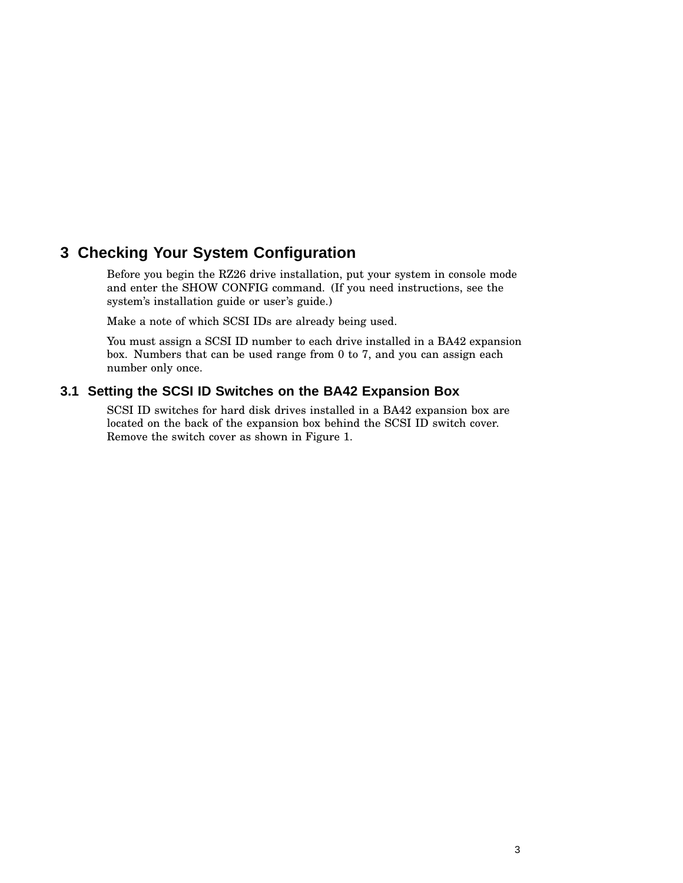# **3 Checking Your System Configuration**

Before you begin the RZ26 drive installation, put your system in console mode and enter the SHOW CONFIG command. (If you need instructions, see the system's installation guide or user's guide.)

Make a note of which SCSI IDs are already being used.

You must assign a SCSI ID number to each drive installed in a BA42 expansion box. Numbers that can be used range from 0 to 7, and you can assign each number only once.

### **3.1 Setting the SCSI ID Switches on the BA42 Expansion Box**

SCSI ID switches for hard disk drives installed in a BA42 expansion box are located on the back of the expansion box behind the SCSI ID switch cover. Remove the switch cover as shown in Figure 1.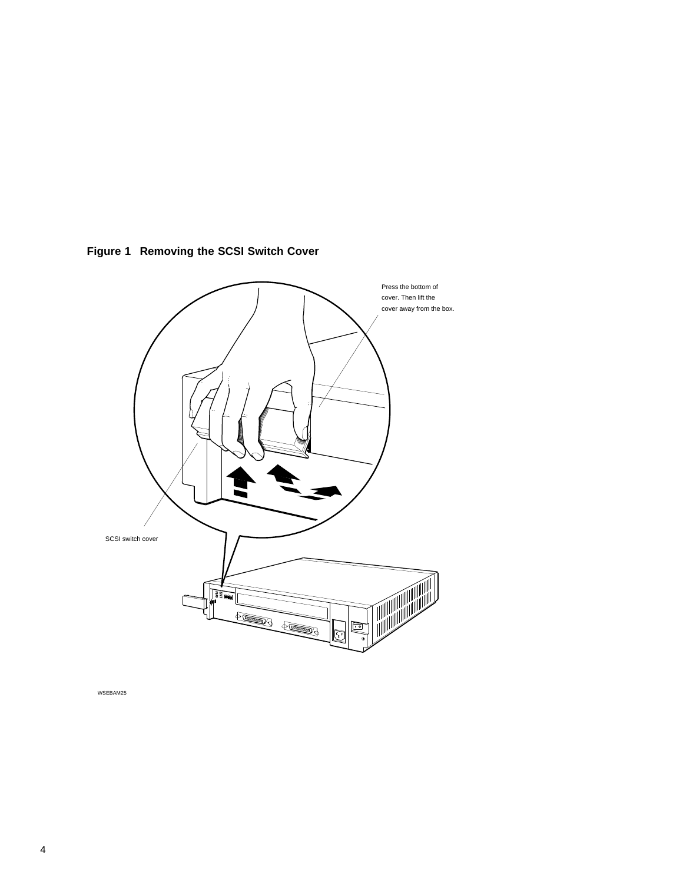

**Figure 1 Removing the SCSI Switch Cover**

WSEBAM25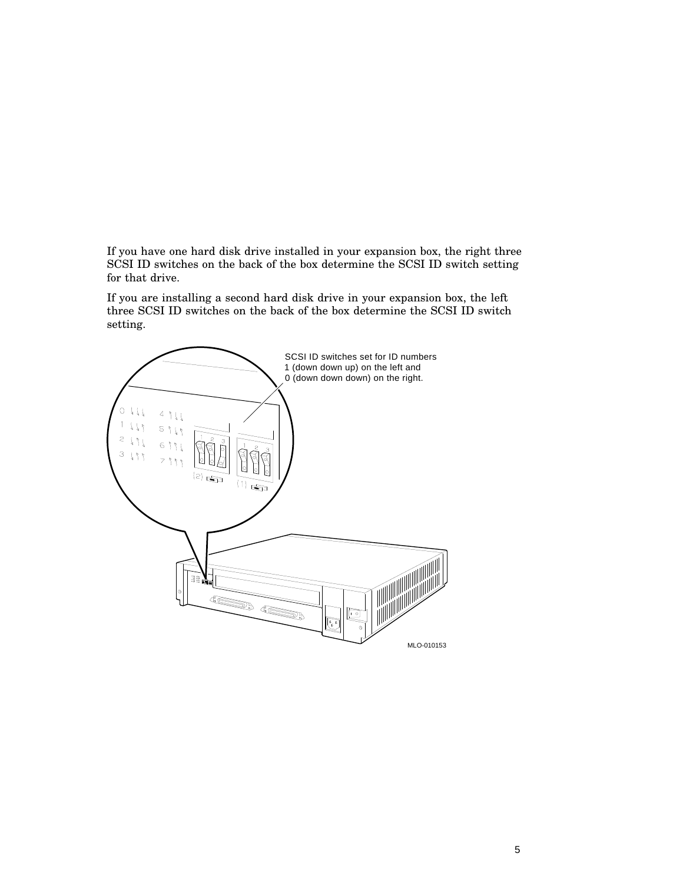If you have one hard disk drive installed in your expansion box, the right three SCSI ID switches on the back of the box determine the SCSI ID switch setting for that drive.

If you are installing a second hard disk drive in your expansion box, the left three SCSI ID switches on the back of the box determine the SCSI ID switch setting.

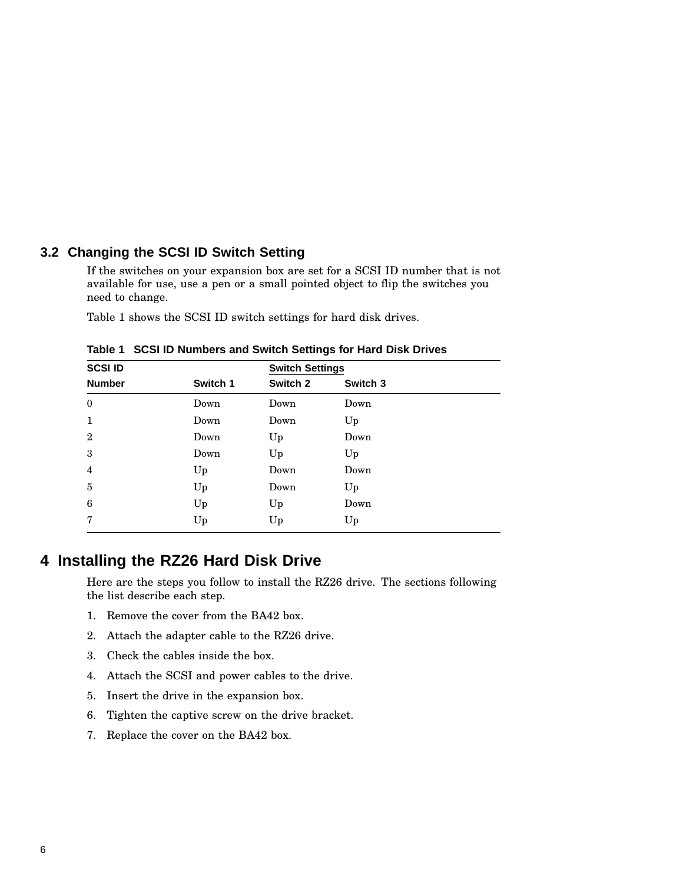### **3.2 Changing the SCSI ID Switch Setting**

If the switches on your expansion box are set for a SCSI ID number that is not available for use, use a pen or a small pointed object to flip the switches you need to change.

Table 1 shows the SCSI ID switch settings for hard disk drives.

| <b>SCSI ID</b> |          | <b>Switch Settings</b> |          |
|----------------|----------|------------------------|----------|
| <b>Number</b>  | Switch 1 | Switch 2               | Switch 3 |
| $\mathbf{0}$   | Down     | Down                   | Down     |
| 1              | Down     | Down                   | Up       |
| $\overline{2}$ | Down     | Up                     | Down     |
| 3              | Down     | Up                     | Up       |
| 4              | Up       | Down                   | Down     |
| 5              | Up       | Down                   | Up       |
| 6              | Up       | Up                     | Down     |
| 7              | Up       | Up                     | Up       |
|                |          |                        |          |

**Table 1 SCSI ID Numbers and Switch Settings for Hard Disk Drives**

# **4 Installing the RZ26 Hard Disk Drive**

Here are the steps you follow to install the RZ26 drive. The sections following the list describe each step.

- 1. Remove the cover from the BA42 box.
- 2. Attach the adapter cable to the RZ26 drive.
- 3. Check the cables inside the box.
- 4. Attach the SCSI and power cables to the drive.
- 5. Insert the drive in the expansion box.
- 6. Tighten the captive screw on the drive bracket.
- 7. Replace the cover on the BA42 box.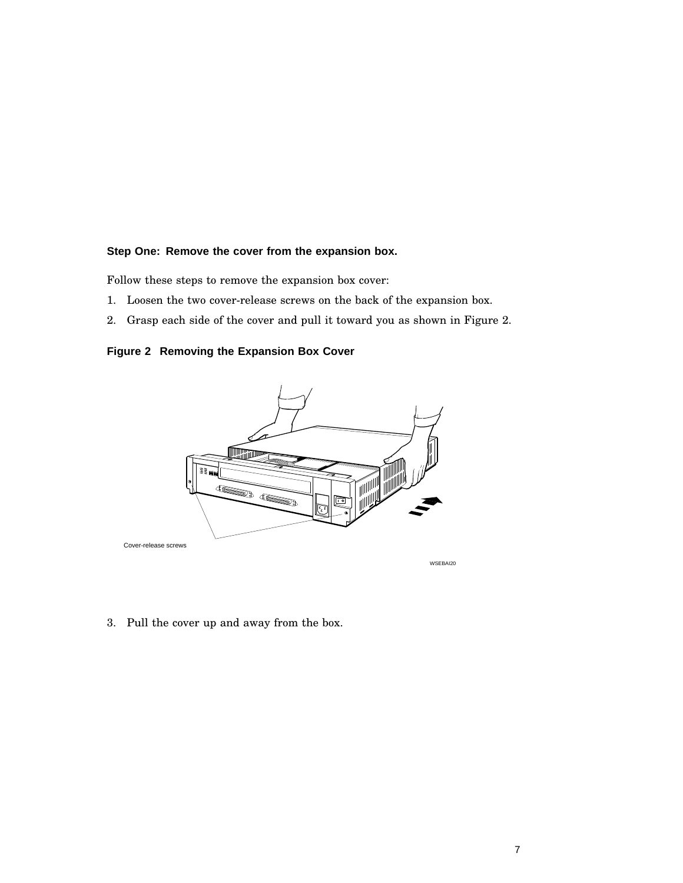#### **Step One: Remove the cover from the expansion box.**

Follow these steps to remove the expansion box cover:

- 1. Loosen the two cover-release screws on the back of the expansion box.
- 2. Grasp each side of the cover and pull it toward you as shown in Figure 2.

**Figure 2 Removing the Expansion Box Cover**



3. Pull the cover up and away from the box.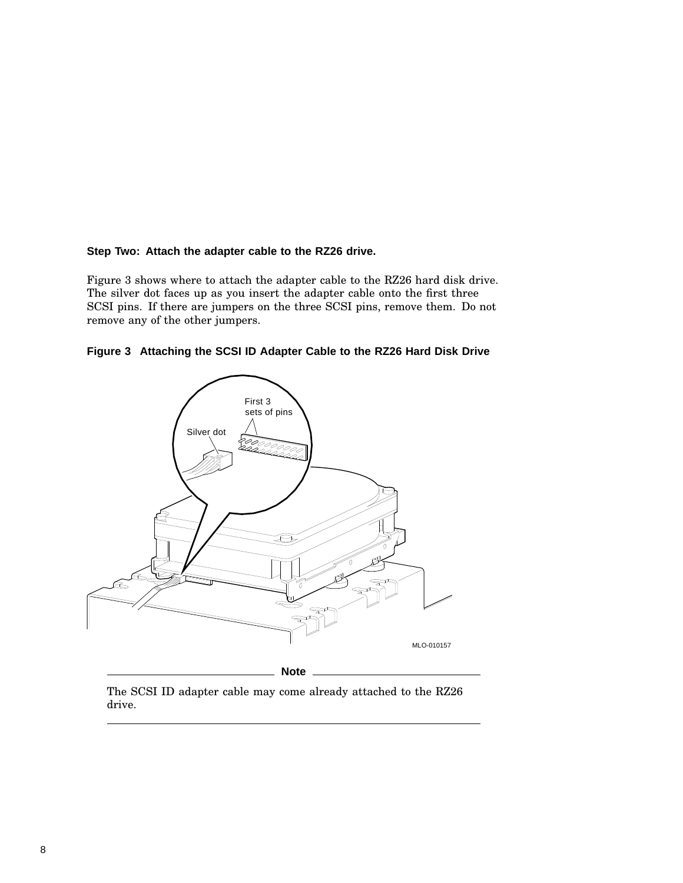#### **Step Two: Attach the adapter cable to the RZ26 drive.**

Figure 3 shows where to attach the adapter cable to the RZ26 hard disk drive. The silver dot faces up as you insert the adapter cable onto the first three SCSI pins. If there are jumpers on the three SCSI pins, remove them. Do not remove any of the other jumpers.





The SCSI ID adapter cable may come already attached to the RZ26 drive.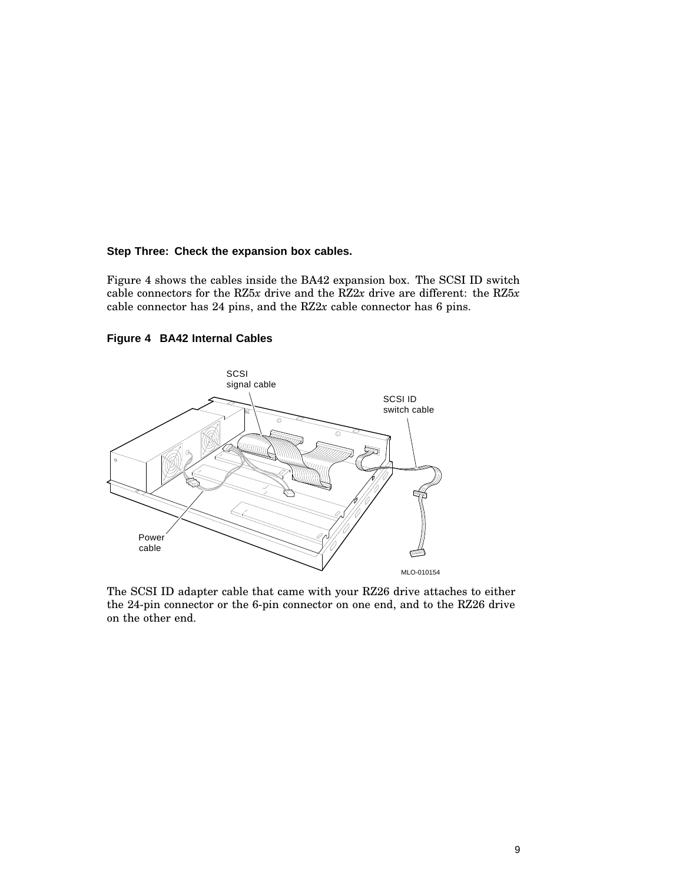#### **Step Three: Check the expansion box cables.**

Figure 4 shows the cables inside the BA42 expansion box. The SCSI ID switch cable connectors for the RZ5*x* drive and the RZ2*x* drive are different: the RZ5*x* cable connector has 24 pins, and the RZ2*x* cable connector has 6 pins.



**Figure 4 BA42 Internal Cables**

The SCSI ID adapter cable that came with your RZ26 drive attaches to either the 24-pin connector or the 6-pin connector on one end, and to the RZ26 drive on the other end.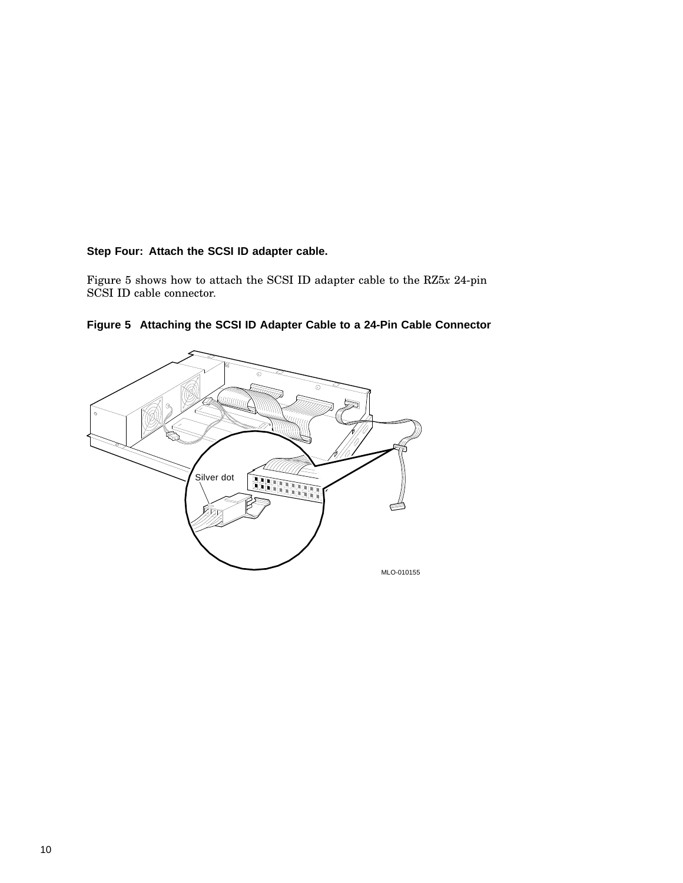### **Step Four: Attach the SCSI ID adapter cable.**

Figure 5 shows how to attach the SCSI ID adapter cable to the RZ5*x* 24-pin SCSI ID cable connector.



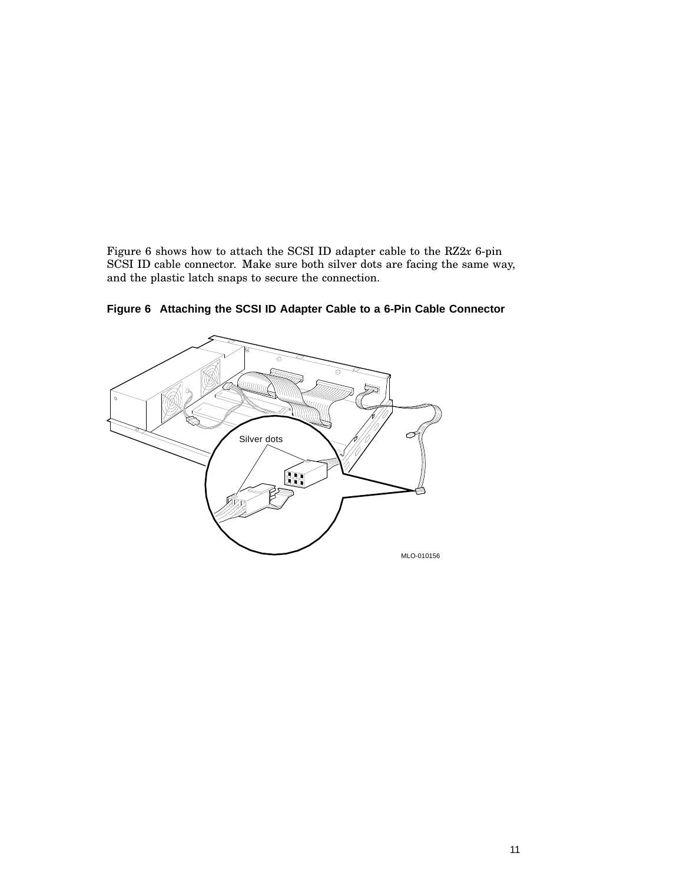Figure 6 shows how to attach the SCSI ID adapter cable to the RZ2*x* 6-pin SCSI ID cable connector. Make sure both silver dots are facing the same way, and the plastic latch snaps to secure the connection.



**Figure 6 Attaching the SCSI ID Adapter Cable to a 6-Pin Cable Connector**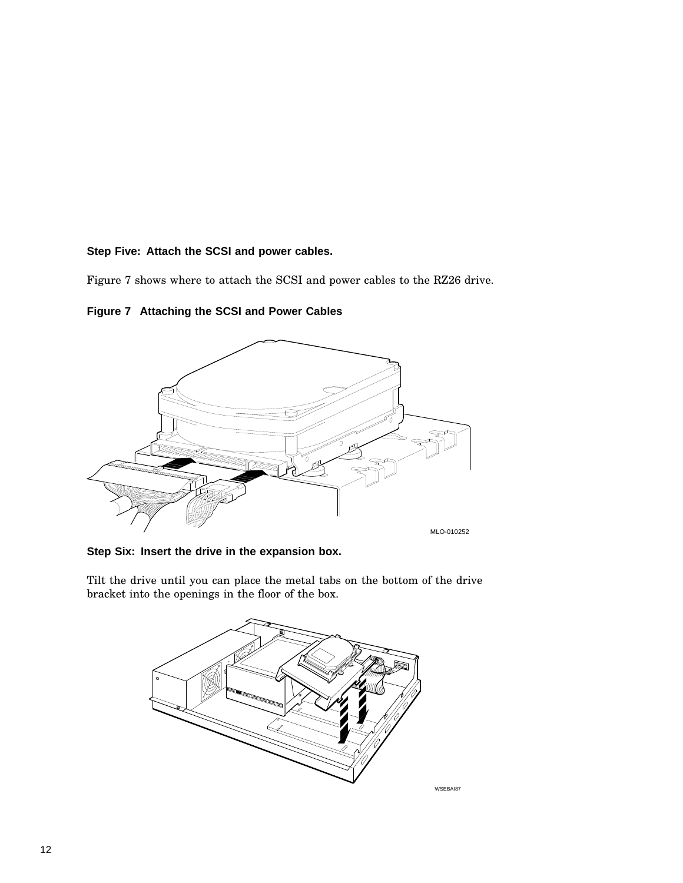#### **Step Five: Attach the SCSI and power cables.**

Figure 7 shows where to attach the SCSI and power cables to the RZ26 drive.

**Figure 7 Attaching the SCSI and Power Cables**



**Step Six: Insert the drive in the expansion box.**

Tilt the drive until you can place the metal tabs on the bottom of the drive bracket into the openings in the floor of the box.



WSEBAI87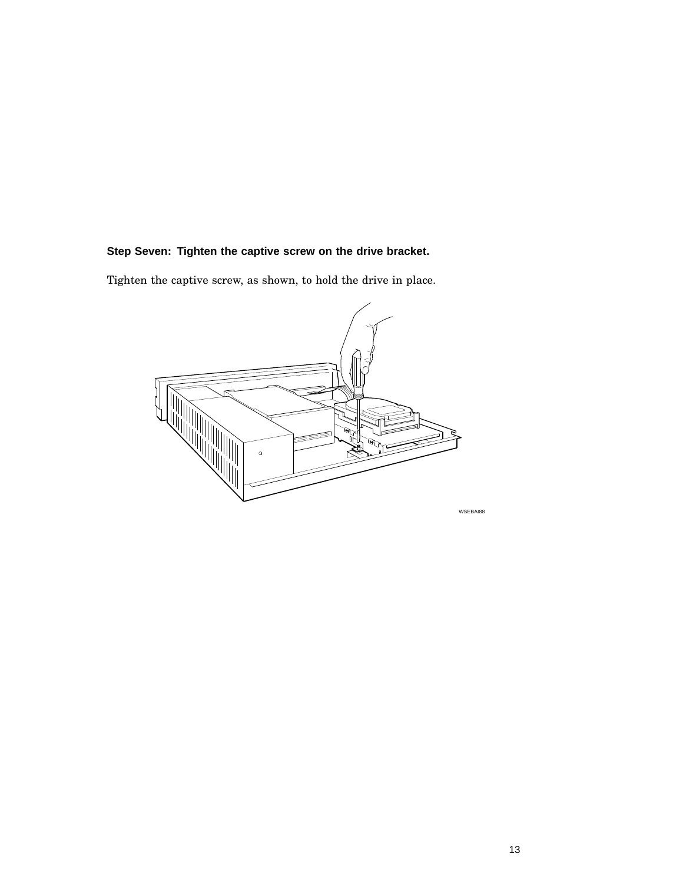## **Step Seven: Tighten the captive screw on the drive bracket.**

Tighten the captive screw, as shown, to hold the drive in place.

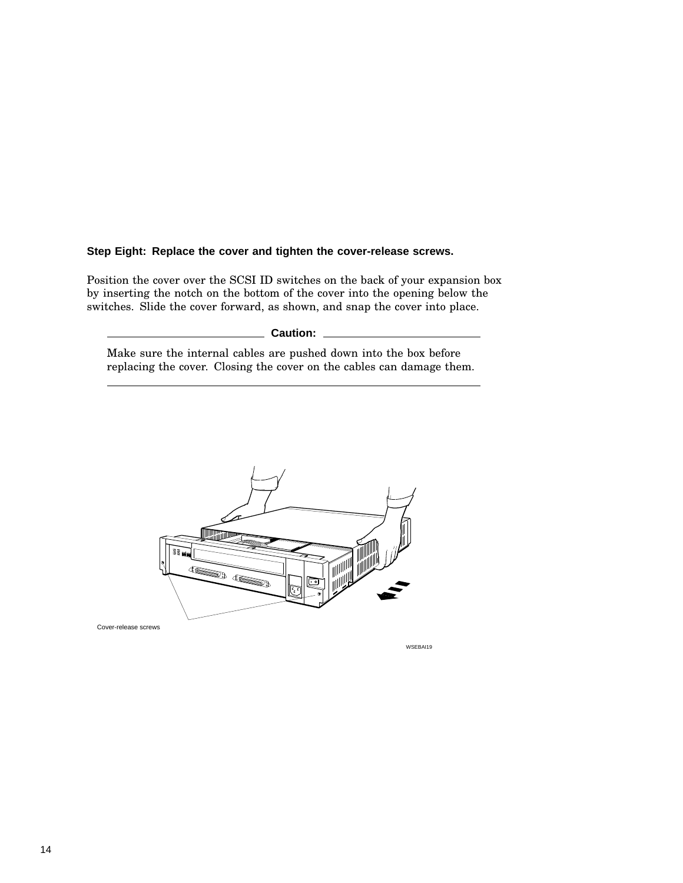#### **Step Eight: Replace the cover and tighten the cover-release screws.**

Position the cover over the SCSI ID switches on the back of your expansion box by inserting the notch on the bottom of the cover into the opening below the switches. Slide the cover forward, as shown, and snap the cover into place.

**Caution:**

Make sure the internal cables are pushed down into the box before replacing the cover. Closing the cover on the cables can damage them.



Cover-release screws

WSEBAI19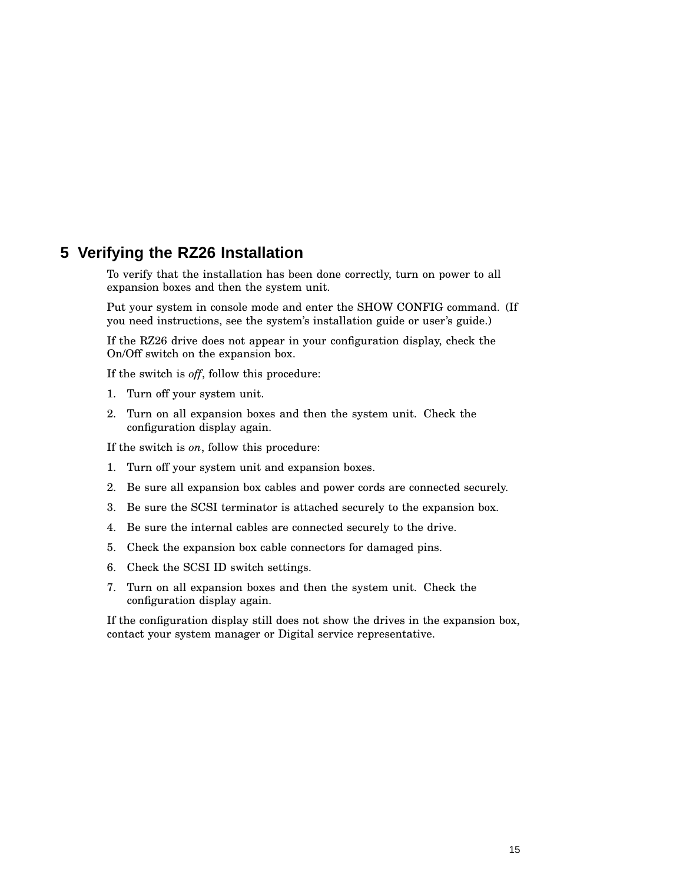# **5 Verifying the RZ26 Installation**

To verify that the installation has been done correctly, turn on power to all expansion boxes and then the system unit.

Put your system in console mode and enter the SHOW CONFIG command. (If you need instructions, see the system's installation guide or user's guide.)

If the RZ26 drive does not appear in your configuration display, check the On/Off switch on the expansion box.

If the switch is *off*, follow this procedure:

- 1. Turn off your system unit.
- 2. Turn on all expansion boxes and then the system unit. Check the configuration display again.

If the switch is *on*, follow this procedure:

- 1. Turn off your system unit and expansion boxes.
- 2. Be sure all expansion box cables and power cords are connected securely.
- 3. Be sure the SCSI terminator is attached securely to the expansion box.
- 4. Be sure the internal cables are connected securely to the drive.
- 5. Check the expansion box cable connectors for damaged pins.
- 6. Check the SCSI ID switch settings.
- 7. Turn on all expansion boxes and then the system unit. Check the configuration display again.

If the configuration display still does not show the drives in the expansion box, contact your system manager or Digital service representative.